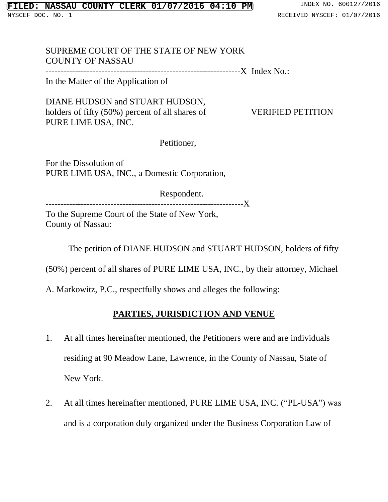# SUPREME COURT OF THE STATE OF NEW YORK COUNTY OF NASSAU

------------------------------------------------------------------X Index No.:

In the Matter of the Application of

DIANE HUDSON and STUART HUDSON, holders of fifty (50%) percent of all shares of VERIFIED PETITION PURE LIME USA, INC.

Petitioner,

For the Dissolution of PURE LIME USA, INC., a Domestic Corporation,

Respondent. -------------------------------------------------------------------X

To the Supreme Court of the State of New York, County of Nassau:

The petition of DIANE HUDSON and STUART HUDSON, holders of fifty

(50%) percent of all shares of PURE LIME USA, INC., by their attorney, Michael

A. Markowitz, P.C., respectfully shows and alleges the following:

# **PARTIES, JURISDICTION AND VENUE**

- 1. At all times hereinafter mentioned, the Petitioners were and are individuals residing at 90 Meadow Lane, Lawrence, in the County of Nassau, State of New York.
- 2. At all times hereinafter mentioned, PURE LIME USA, INC. ("PL-USA") was and is a corporation duly organized under the Business Corporation Law of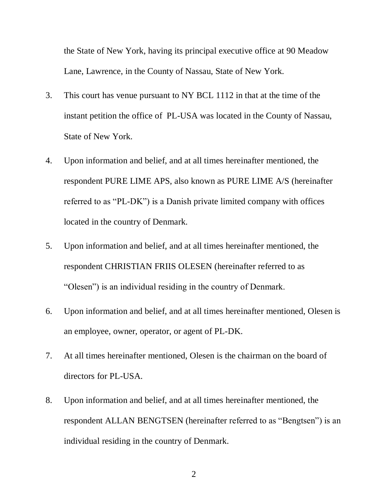the State of New York, having its principal executive office at 90 Meadow Lane, Lawrence, in the County of Nassau, State of New York.

- 3. This court has venue pursuant to NY BCL 1112 in that at the time of the instant petition the office of PL-USA was located in the County of Nassau, State of New York.
- 4. Upon information and belief, and at all times hereinafter mentioned, the respondent PURE LIME APS, also known as PURE LIME A/S (hereinafter referred to as "PL-DK") is a Danish private limited company with offices located in the country of Denmark.
- 5. Upon information and belief, and at all times hereinafter mentioned, the respondent CHRISTIAN FRIIS OLESEN (hereinafter referred to as "Olesen") is an individual residing in the country of Denmark.
- 6. Upon information and belief, and at all times hereinafter mentioned, Olesen is an employee, owner, operator, or agent of PL-DK.
- 7. At all times hereinafter mentioned, Olesen is the chairman on the board of directors for PL-USA.
- 8. Upon information and belief, and at all times hereinafter mentioned, the respondent ALLAN BENGTSEN (hereinafter referred to as "Bengtsen") is an individual residing in the country of Denmark.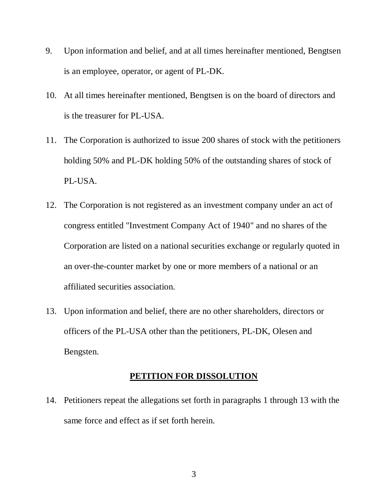- 9. Upon information and belief, and at all times hereinafter mentioned, Bengtsen is an employee, operator, or agent of PL-DK.
- 10. At all times hereinafter mentioned, Bengtsen is on the board of directors and is the treasurer for PL-USA.
- 11. The Corporation is authorized to issue 200 shares of stock with the petitioners holding 50% and PL-DK holding 50% of the outstanding shares of stock of PL-USA.
- 12. The Corporation is not registered as an investment company under an act of congress entitled "Investment Company Act of 1940" and no shares of the Corporation are listed on a national securities exchange or regularly quoted in an over-the-counter market by one or more members of a national or an affiliated securities association.
- 13. Upon information and belief, there are no other shareholders, directors or officers of the PL-USA other than the petitioners, PL-DK, Olesen and Bengsten.

### **PETITION FOR DISSOLUTION**

14. Petitioners repeat the allegations set forth in paragraphs 1 through 13 with the same force and effect as if set forth herein.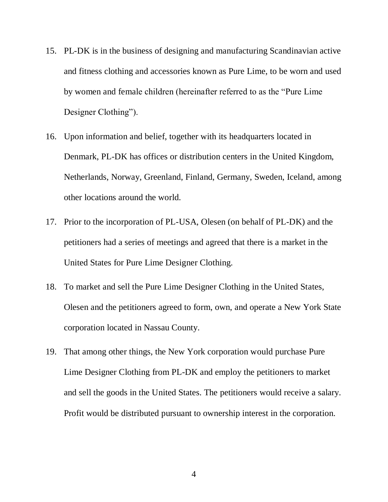- 15. PL-DK is in the business of designing and manufacturing Scandinavian active and fitness clothing and accessories known as Pure Lime, to be worn and used by women and female children (hereinafter referred to as the "Pure Lime Designer Clothing").
- 16. Upon information and belief, together with its headquarters located in Denmark, PL-DK has offices or distribution centers in the United Kingdom, Netherlands, Norway, Greenland, Finland, Germany, Sweden, Iceland, among other locations around the world.
- 17. Prior to the incorporation of PL-USA, Olesen (on behalf of PL-DK) and the petitioners had a series of meetings and agreed that there is a market in the United States for Pure Lime Designer Clothing.
- 18. To market and sell the Pure Lime Designer Clothing in the United States, Olesen and the petitioners agreed to form, own, and operate a New York State corporation located in Nassau County.
- 19. That among other things, the New York corporation would purchase Pure Lime Designer Clothing from PL-DK and employ the petitioners to market and sell the goods in the United States. The petitioners would receive a salary. Profit would be distributed pursuant to ownership interest in the corporation.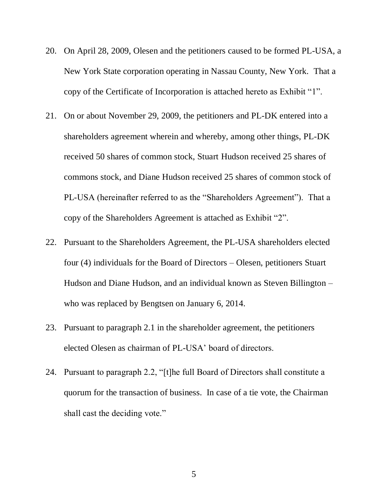- 20. On April 28, 2009, Olesen and the petitioners caused to be formed PL-USA, a New York State corporation operating in Nassau County, New York. That a copy of the Certificate of Incorporation is attached hereto as Exhibit "1".
- 21. On or about November 29, 2009, the petitioners and PL-DK entered into a shareholders agreement wherein and whereby, among other things, PL-DK received 50 shares of common stock, Stuart Hudson received 25 shares of commons stock, and Diane Hudson received 25 shares of common stock of PL-USA (hereinafter referred to as the "Shareholders Agreement"). That a copy of the Shareholders Agreement is attached as Exhibit "2".
- 22. Pursuant to the Shareholders Agreement, the PL-USA shareholders elected four (4) individuals for the Board of Directors – Olesen, petitioners Stuart Hudson and Diane Hudson, and an individual known as Steven Billington – who was replaced by Bengtsen on January 6, 2014.
- 23. Pursuant to paragraph 2.1 in the shareholder agreement, the petitioners elected Olesen as chairman of PL-USA' board of directors.
- 24. Pursuant to paragraph 2.2, "[t]he full Board of Directors shall constitute a quorum for the transaction of business. In case of a tie vote, the Chairman shall cast the deciding vote."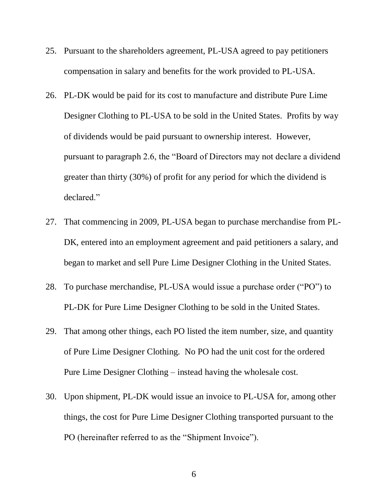- 25. Pursuant to the shareholders agreement, PL-USA agreed to pay petitioners compensation in salary and benefits for the work provided to PL-USA.
- 26. PL-DK would be paid for its cost to manufacture and distribute Pure Lime Designer Clothing to PL-USA to be sold in the United States. Profits by way of dividends would be paid pursuant to ownership interest. However, pursuant to paragraph 2.6, the "Board of Directors may not declare a dividend greater than thirty (30%) of profit for any period for which the dividend is declared."
- 27. That commencing in 2009, PL-USA began to purchase merchandise from PL-DK, entered into an employment agreement and paid petitioners a salary, and began to market and sell Pure Lime Designer Clothing in the United States.
- 28. To purchase merchandise, PL-USA would issue a purchase order ("PO") to PL-DK for Pure Lime Designer Clothing to be sold in the United States.
- 29. That among other things, each PO listed the item number, size, and quantity of Pure Lime Designer Clothing. No PO had the unit cost for the ordered Pure Lime Designer Clothing – instead having the wholesale cost.
- 30. Upon shipment, PL-DK would issue an invoice to PL-USA for, among other things, the cost for Pure Lime Designer Clothing transported pursuant to the PO (hereinafter referred to as the "Shipment Invoice").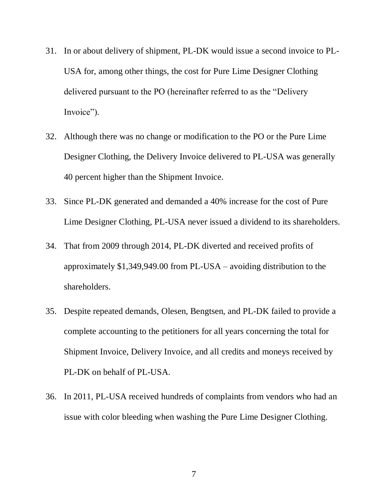- 31. In or about delivery of shipment, PL-DK would issue a second invoice to PL-USA for, among other things, the cost for Pure Lime Designer Clothing delivered pursuant to the PO (hereinafter referred to as the "Delivery Invoice").
- 32. Although there was no change or modification to the PO or the Pure Lime Designer Clothing, the Delivery Invoice delivered to PL-USA was generally 40 percent higher than the Shipment Invoice.
- 33. Since PL-DK generated and demanded a 40% increase for the cost of Pure Lime Designer Clothing, PL-USA never issued a dividend to its shareholders.
- 34. That from 2009 through 2014, PL-DK diverted and received profits of approximately \$1,349,949.00 from PL-USA – avoiding distribution to the shareholders.
- 35. Despite repeated demands, Olesen, Bengtsen, and PL-DK failed to provide a complete accounting to the petitioners for all years concerning the total for Shipment Invoice, Delivery Invoice, and all credits and moneys received by PL-DK on behalf of PL-USA.
- 36. In 2011, PL-USA received hundreds of complaints from vendors who had an issue with color bleeding when washing the Pure Lime Designer Clothing.

7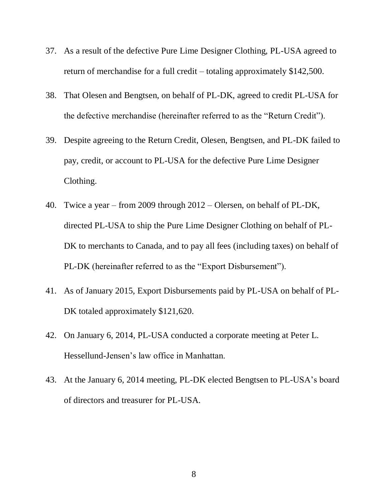- 37. As a result of the defective Pure Lime Designer Clothing, PL-USA agreed to return of merchandise for a full credit – totaling approximately \$142,500.
- 38. That Olesen and Bengtsen, on behalf of PL-DK, agreed to credit PL-USA for the defective merchandise (hereinafter referred to as the "Return Credit").
- 39. Despite agreeing to the Return Credit, Olesen, Bengtsen, and PL-DK failed to pay, credit, or account to PL-USA for the defective Pure Lime Designer Clothing.
- 40. Twice a year from 2009 through 2012 Olersen, on behalf of PL-DK, directed PL-USA to ship the Pure Lime Designer Clothing on behalf of PL-DK to merchants to Canada, and to pay all fees (including taxes) on behalf of PL-DK (hereinafter referred to as the "Export Disbursement").
- 41. As of January 2015, Export Disbursements paid by PL-USA on behalf of PL-DK totaled approximately \$121,620.
- 42. On January 6, 2014, PL-USA conducted a corporate meeting at Peter L. Hessellund-Jensen's law office in Manhattan.
- 43. At the January 6, 2014 meeting, PL-DK elected Bengtsen to PL-USA's board of directors and treasurer for PL-USA.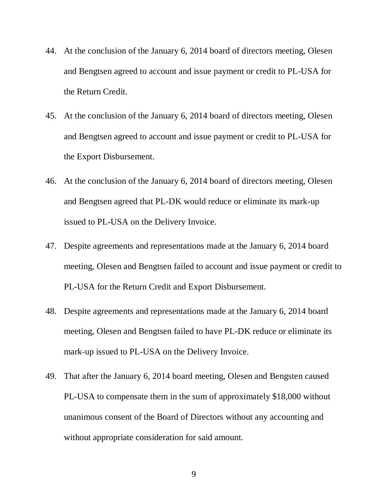- 44. At the conclusion of the January 6, 2014 board of directors meeting, Olesen and Bengtsen agreed to account and issue payment or credit to PL-USA for the Return Credit.
- 45. At the conclusion of the January 6, 2014 board of directors meeting, Olesen and Bengtsen agreed to account and issue payment or credit to PL-USA for the Export Disbursement.
- 46. At the conclusion of the January 6, 2014 board of directors meeting, Olesen and Bengtsen agreed that PL-DK would reduce or eliminate its mark-up issued to PL-USA on the Delivery Invoice.
- 47. Despite agreements and representations made at the January 6, 2014 board meeting, Olesen and Bengtsen failed to account and issue payment or credit to PL-USA for the Return Credit and Export Disbursement.
- 48. Despite agreements and representations made at the January 6, 2014 board meeting, Olesen and Bengtsen failed to have PL-DK reduce or eliminate its mark-up issued to PL-USA on the Delivery Invoice.
- 49. That after the January 6, 2014 board meeting, Olesen and Bengsten caused PL-USA to compensate them in the sum of approximately \$18,000 without unanimous consent of the Board of Directors without any accounting and without appropriate consideration for said amount.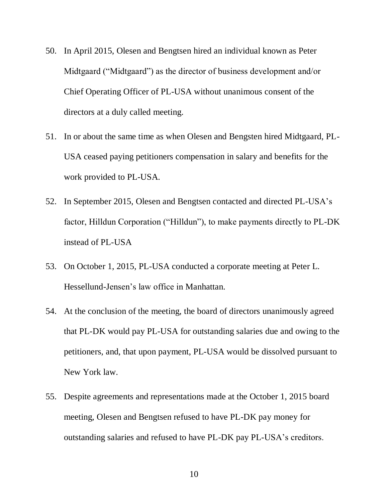- 50. In April 2015, Olesen and Bengtsen hired an individual known as Peter Midtgaard ("Midtgaard") as the director of business development and/or Chief Operating Officer of PL-USA without unanimous consent of the directors at a duly called meeting.
- 51. In or about the same time as when Olesen and Bengsten hired Midtgaard, PL-USA ceased paying petitioners compensation in salary and benefits for the work provided to PL-USA.
- 52. In September 2015, Olesen and Bengtsen contacted and directed PL-USA's factor, Hilldun Corporation ("Hilldun"), to make payments directly to PL-DK instead of PL-USA
- 53. On October 1, 2015, PL-USA conducted a corporate meeting at Peter L. Hessellund-Jensen's law office in Manhattan.
- 54. At the conclusion of the meeting, the board of directors unanimously agreed that PL-DK would pay PL-USA for outstanding salaries due and owing to the petitioners, and, that upon payment, PL-USA would be dissolved pursuant to New York law.
- 55. Despite agreements and representations made at the October 1, 2015 board meeting, Olesen and Bengtsen refused to have PL-DK pay money for outstanding salaries and refused to have PL-DK pay PL-USA's creditors.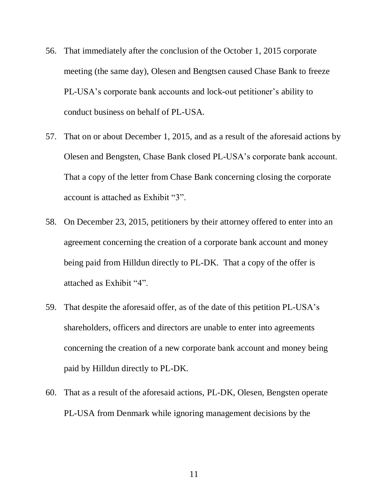- 56. That immediately after the conclusion of the October 1, 2015 corporate meeting (the same day), Olesen and Bengtsen caused Chase Bank to freeze PL-USA's corporate bank accounts and lock-out petitioner's ability to conduct business on behalf of PL-USA.
- 57. That on or about December 1, 2015, and as a result of the aforesaid actions by Olesen and Bengsten, Chase Bank closed PL-USA's corporate bank account. That a copy of the letter from Chase Bank concerning closing the corporate account is attached as Exhibit "3".
- 58. On December 23, 2015, petitioners by their attorney offered to enter into an agreement concerning the creation of a corporate bank account and money being paid from Hilldun directly to PL-DK. That a copy of the offer is attached as Exhibit "4".
- 59. That despite the aforesaid offer, as of the date of this petition PL-USA's shareholders, officers and directors are unable to enter into agreements concerning the creation of a new corporate bank account and money being paid by Hilldun directly to PL-DK.
- 60. That as a result of the aforesaid actions, PL-DK, Olesen, Bengsten operate PL-USA from Denmark while ignoring management decisions by the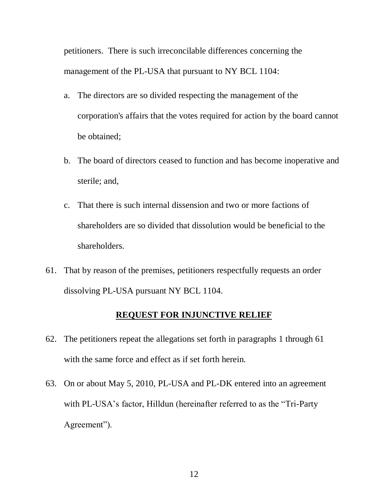petitioners. There is such irreconcilable differences concerning the management of the PL-USA that pursuant to NY BCL [1104:](http://web2.westlaw.com/find/default.wl?tf=-1&rs=WLW10.10&fn=_top&sv=Split&docname=NYBUS1104&tc=-1&pbc=F91BF296&ordoc=0283946169&findtype=L&db=1000057&utid=1&vr=2.0&rp=%2ffind%2fdefault.wl&mt=NewYork)

- a. The directors are so divided respecting the management of the corporation's affairs that the votes required for action by the board cannot be obtained;
- b. The board of directors ceased to function and has become inoperative and sterile; and,
- c. That there is such internal dissension and two or more factions of shareholders are so divided that dissolution would be beneficial to the shareholders.
- 61. That by reason of the premises, petitioners respectfully requests an order dissolving PL-USA pursuant NY BCL 1104.

## **REQUEST FOR INJUNCTIVE RELIEF**

- 62. The petitioners repeat the allegations set forth in paragraphs 1 through 61 with the same force and effect as if set forth herein.
- 63. On or about May 5, 2010, PL-USA and PL-DK entered into an agreement with PL-USA's factor, Hilldun (hereinafter referred to as the "Tri-Party Agreement").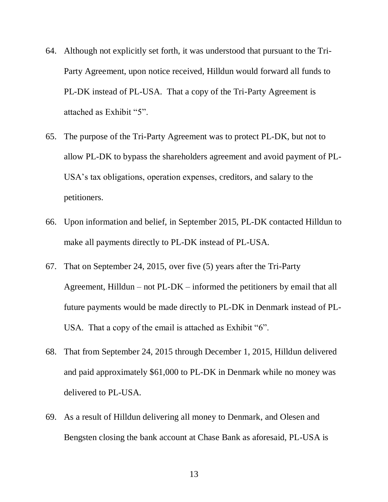- 64. Although not explicitly set forth, it was understood that pursuant to the Tri-Party Agreement, upon notice received, Hilldun would forward all funds to PL-DK instead of PL-USA. That a copy of the Tri-Party Agreement is attached as Exhibit "5".
- 65. The purpose of the Tri-Party Agreement was to protect PL-DK, but not to allow PL-DK to bypass the shareholders agreement and avoid payment of PL-USA's tax obligations, operation expenses, creditors, and salary to the petitioners.
- 66. Upon information and belief, in September 2015, PL-DK contacted Hilldun to make all payments directly to PL-DK instead of PL-USA.
- 67. That on September 24, 2015, over five (5) years after the Tri-Party Agreement, Hilldun – not PL-DK – informed the petitioners by email that all future payments would be made directly to PL-DK in Denmark instead of PL-USA. That a copy of the email is attached as Exhibit "6".
- 68. That from September 24, 2015 through December 1, 2015, Hilldun delivered and paid approximately \$61,000 to PL-DK in Denmark while no money was delivered to PL-USA.
- 69. As a result of Hilldun delivering all money to Denmark, and Olesen and Bengsten closing the bank account at Chase Bank as aforesaid, PL-USA is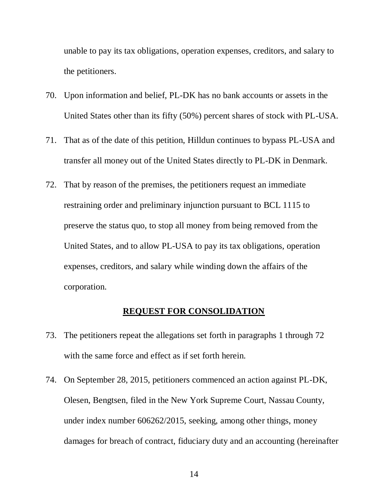unable to pay its tax obligations, operation expenses, creditors, and salary to the petitioners.

- 70. Upon information and belief, PL-DK has no bank accounts or assets in the United States other than its fifty (50%) percent shares of stock with PL-USA.
- 71. That as of the date of this petition, Hilldun continues to bypass PL-USA and transfer all money out of the United States directly to PL-DK in Denmark.
- 72. That by reason of the premises, the petitioners request an immediate restraining order and preliminary injunction pursuant to BCL 1115 to preserve the status quo, to stop all money from being removed from the United States, and to allow PL-USA to pay its tax obligations, operation expenses, creditors, and salary while winding down the affairs of the corporation.

### **REQUEST FOR CONSOLIDATION**

- 73. The petitioners repeat the allegations set forth in paragraphs 1 through 72 with the same force and effect as if set forth herein.
- 74. On September 28, 2015, petitioners commenced an action against PL-DK, Olesen, Bengtsen, filed in the New York Supreme Court, Nassau County, under index number 606262/2015, seeking, among other things, money damages for breach of contract, fiduciary duty and an accounting (hereinafter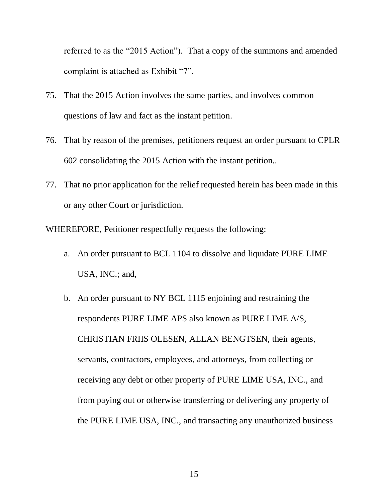referred to as the "2015 Action"). That a copy of the summons and amended complaint is attached as Exhibit "7".

- 75. That the 2015 Action involves the same parties, and involves common questions of law and fact as the instant petition.
- 76. That by reason of the premises, petitioners request an order pursuant to CPLR 602 consolidating the 2015 Action with the instant petition..
- 77. That no prior application for the relief requested herein has been made in this or any other Court or jurisdiction.

WHEREFORE, Petitioner respectfully requests the following:

- a. An order pursuant to BCL 1104 to dissolve and liquidate PURE LIME USA, INC.; and,
- b. An order pursuant to NY BCL 1115 enjoining and restraining the respondents PURE LIME APS also known as PURE LIME A/S, CHRISTIAN FRIIS OLESEN, ALLAN BENGTSEN, their agents, servants, contractors, employees, and attorneys, from collecting or receiving any debt or other property of PURE LIME USA, INC., and from paying out or otherwise transferring or delivering any property of the PURE LIME USA, INC., and transacting any unauthorized business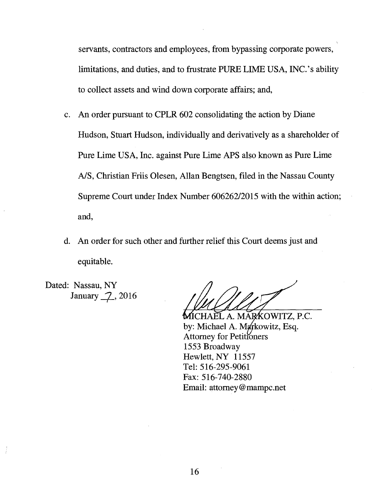servants, contractors and employees, from bypassing corporate powers, limitations, and duties, and to frustrate PURE LIME USA, INC.'s ability to collect assets and wind down corporate affairs; and,

- c. An order pursuant to CPLR 602 consolidating the action by Diane Hudson, Stuart Hudson, individually and derivatively as a shareholder of Pure Lime USA, Inc. against Pure Lime APS also known as Pure Lime A/S, Christian Friis Olesen, Allan Bengtsen, filed in the Nassau County Supreme Court under Index Number 606262/2015 with the within action; and,
- d. An order for such other and further relief this Court deems just and equitable.

Dated: Nassau, NY January 2, 2016

CHAEL A. MAR∕KOWITZ, P.C. by: Michael A. Markowitz, Esq. Attorney for Petitioners 1553 Broadway Hewlett, NY 11557 Tel: 516-295-9061 Fax: 516-740-2880 Email: attorney@mampc.net